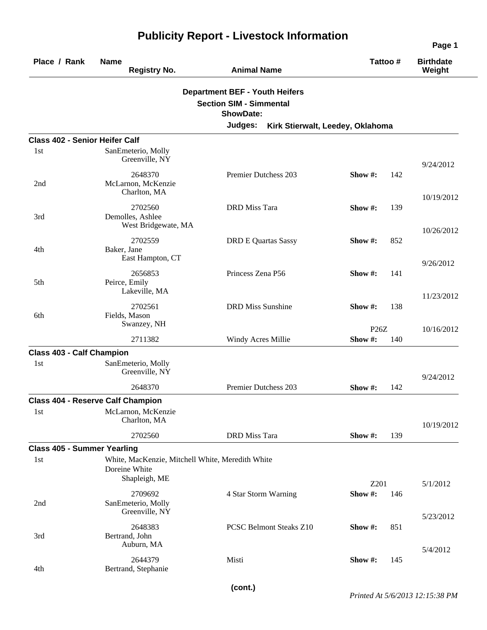| Place / Rank                              | <b>Name</b><br><b>Registry No.</b>                                                 | <b>Animal Name</b>                                                                          | Tattoo#               | <b>Birthdate</b><br>Weight |
|-------------------------------------------|------------------------------------------------------------------------------------|---------------------------------------------------------------------------------------------|-----------------------|----------------------------|
|                                           |                                                                                    | <b>Department BEF - Youth Heifers</b><br><b>Section SIM - Simmental</b><br><b>ShowDate:</b> |                       |                            |
|                                           |                                                                                    | Judges:<br>Kirk Stierwalt, Leedey, Oklahoma                                                 |                       |                            |
| <b>Class 402 - Senior Heifer Calf</b>     |                                                                                    |                                                                                             |                       |                            |
| 1st                                       | SanEmeterio, Molly<br>Greenville, NY                                               |                                                                                             |                       | 9/24/2012                  |
| 2nd                                       | 2648370<br>McLarnon, McKenzie<br>Charlton, MA                                      | Premier Dutchess 203                                                                        | Show #:<br>142        | 10/19/2012                 |
| 3rd                                       | 2702560<br>Demolles, Ashlee<br>West Bridgewate, MA                                 | <b>DRD</b> Miss Tara                                                                        | 139<br>Show #:        |                            |
| 4th                                       | 2702559<br>Baker, Jane                                                             | <b>DRD E Quartas Sassy</b>                                                                  | Show #:<br>852        | 10/26/2012                 |
| 5th                                       | East Hampton, CT<br>2656853<br>Peirce, Emily                                       | Princess Zena P56                                                                           | Show #:<br>141        | 9/26/2012                  |
| 6th                                       | Lakeville, MA<br>2702561<br>Fields, Mason                                          | <b>DRD Miss Sunshine</b>                                                                    | Show #:<br>138        | 11/23/2012                 |
|                                           | Swanzey, NH                                                                        |                                                                                             | P26Z                  | 10/16/2012                 |
|                                           | 2711382                                                                            | Windy Acres Millie                                                                          | Show#:<br>140         |                            |
| <b>Class 403 - Calf Champion</b><br>1st   | SanEmeterio, Molly<br>Greenville, NY                                               |                                                                                             |                       | 9/24/2012                  |
|                                           | 2648370                                                                            | Premier Dutchess 203                                                                        | Show #:<br>142        |                            |
|                                           | <b>Class 404 - Reserve Calf Champion</b>                                           |                                                                                             |                       |                            |
| 1st                                       | McLarnon, McKenzie<br>Charlton, MA                                                 |                                                                                             |                       | 10/19/2012                 |
|                                           | 2702560                                                                            | <b>DRD</b> Miss Tara                                                                        | Show#:<br>139         |                            |
| <b>Class 405 - Summer Yearling</b><br>1st | White, MacKenzie, Mitchell White, Meredith White<br>Doreine White<br>Shapleigh, ME |                                                                                             |                       |                            |
| 2nd                                       | 2709692<br>SanEmeterio, Molly<br>Greenville, NY                                    | 4 Star Storm Warning                                                                        | Z201<br>Show#:<br>146 | 5/1/2012                   |
| 3rd                                       | 2648383<br>Bertrand, John<br>Auburn, MA                                            | <b>PCSC Belmont Steaks Z10</b>                                                              | Show #:<br>851        | 5/23/2012                  |
| 4th                                       | 2644379<br>Bertrand, Stephanie                                                     | Misti                                                                                       | Show #:<br>145        | 5/4/2012                   |

## **Publicity Report - Livestock Information**

**Page 1**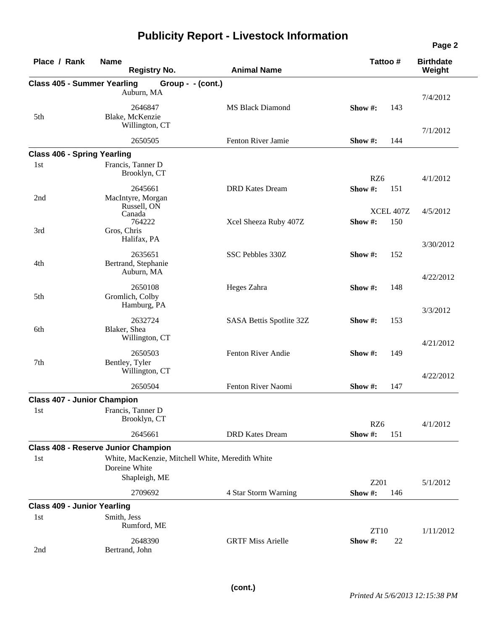## **Publicity Report - Livestock Information**

| Place / Rank                       | <b>Name</b><br><b>Registry No.</b>               | <b>Animal Name</b>       | Tattoo #                    | <b>Birthdate</b><br>Weight |
|------------------------------------|--------------------------------------------------|--------------------------|-----------------------------|----------------------------|
| <b>Class 405 - Summer Yearling</b> | Group - - (cont.)                                |                          |                             |                            |
|                                    | Auburn, MA                                       |                          |                             | 7/4/2012                   |
| 5th                                | 2646847<br>Blake, McKenzie                       | <b>MS Black Diamond</b>  | Show #:<br>143              |                            |
|                                    | Willington, CT                                   |                          |                             | 7/1/2012                   |
|                                    | 2650505                                          | Fenton River Jamie       | Show #:<br>144              |                            |
| <b>Class 406 - Spring Yearling</b> |                                                  |                          |                             |                            |
| 1st                                | Francis, Tanner D<br>Brooklyn, CT                |                          | RZ6                         | 4/1/2012                   |
|                                    | 2645661                                          | <b>DRD</b> Kates Dream   | Show#:<br>151               |                            |
| 2nd                                | MacIntyre, Morgan<br>Russell, ON                 |                          |                             |                            |
|                                    | Canada<br>764222                                 |                          | XCEL 407Z<br>Show #:<br>150 | 4/5/2012                   |
| 3rd                                | Gros, Chris<br>Halifax, PA                       | Xcel Sheeza Ruby 407Z    |                             |                            |
|                                    |                                                  |                          |                             | 3/30/2012                  |
| 4th                                | 2635651<br>Bertrand, Stephanie<br>Auburn, MA     | SSC Pebbles 330Z         | Show #:<br>152              |                            |
|                                    |                                                  |                          |                             | 4/22/2012                  |
| 5th                                | 2650108<br>Gromlich, Colby<br>Hamburg, PA        | Heges Zahra              | Show #:<br>148              |                            |
|                                    |                                                  |                          |                             | 3/3/2012                   |
| 6th                                | 2632724<br>Blaker, Shea<br>Willington, CT        | SASA Bettis Spotlite 32Z | Show #:<br>153              |                            |
|                                    |                                                  |                          |                             | 4/21/2012                  |
| 7th                                | 2650503<br>Bentley, Tyler<br>Willington, CT      | Fenton River Andie       | 149<br>Show $#$ :           |                            |
|                                    | 2650504                                          | Fenton River Naomi       | Show #:<br>147              | 4/22/2012                  |
| <b>Class 407 - Junior Champion</b> |                                                  |                          |                             |                            |
| 1st                                | Francis, Tanner D                                |                          |                             |                            |
|                                    | Brooklyn, CT                                     |                          | RZ6                         | 4/1/2012                   |
|                                    | 2645661                                          | <b>DRD</b> Kates Dream   | Show #:<br>151              |                            |
|                                    | <b>Class 408 - Reserve Junior Champion</b>       |                          |                             |                            |
| 1st                                | White, MacKenzie, Mitchell White, Meredith White |                          |                             |                            |
|                                    | Doreine White<br>Shapleigh, ME                   |                          | Z201                        |                            |
|                                    | 2709692                                          | 4 Star Storm Warning     | Show #:<br>146              | 5/1/2012                   |
| <b>Class 409 - Junior Yearling</b> |                                                  |                          |                             |                            |
| 1st                                | Smith, Jess<br>Rumford, ME                       |                          |                             |                            |
|                                    |                                                  |                          | <b>ZT10</b>                 | 1/11/2012                  |
| 2nd                                | 2648390<br>Bertrand, John                        | <b>GRTF Miss Arielle</b> | Show #:<br>22               |                            |

**Page 2**